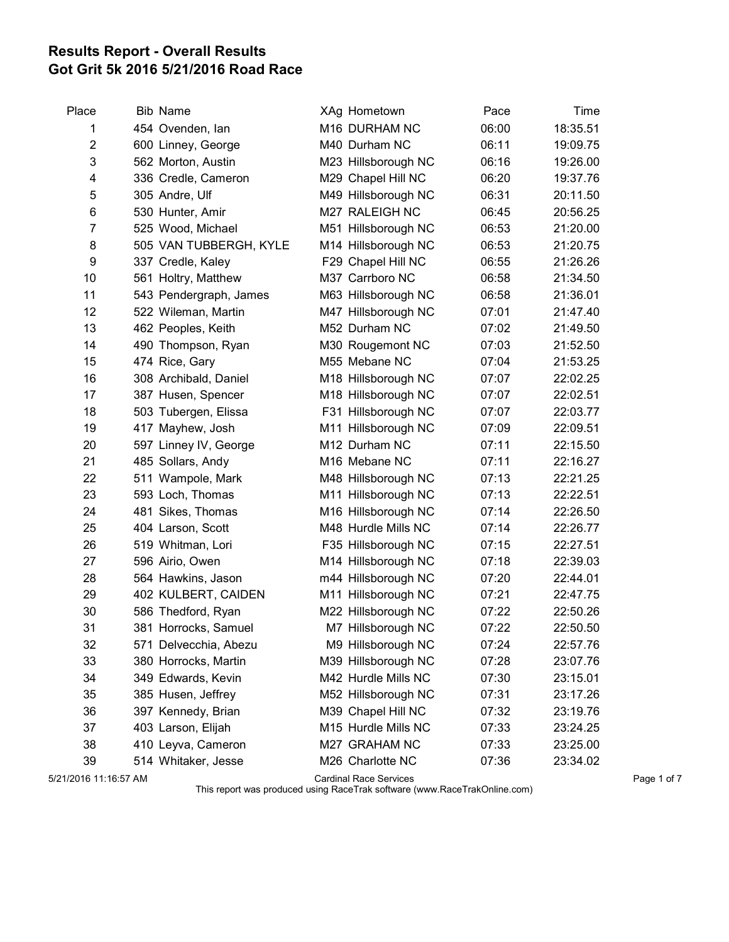## Results Report - Overall Results Got Grit 5k 2016 5/21/2016 Road Race

| <b>Bib Name</b>        |                                                                                                                                                                                                                                                                                                                                                                                                                                                                                                                                                   | XAg Hometown        | Pace                                                                                                                                                                                                                                                                                                                                                                                                                                                                                                                                         | Time     |
|------------------------|---------------------------------------------------------------------------------------------------------------------------------------------------------------------------------------------------------------------------------------------------------------------------------------------------------------------------------------------------------------------------------------------------------------------------------------------------------------------------------------------------------------------------------------------------|---------------------|----------------------------------------------------------------------------------------------------------------------------------------------------------------------------------------------------------------------------------------------------------------------------------------------------------------------------------------------------------------------------------------------------------------------------------------------------------------------------------------------------------------------------------------------|----------|
| 454 Ovenden, lan       |                                                                                                                                                                                                                                                                                                                                                                                                                                                                                                                                                   | M16 DURHAM NC       | 06:00                                                                                                                                                                                                                                                                                                                                                                                                                                                                                                                                        | 18:35.51 |
| 600 Linney, George     |                                                                                                                                                                                                                                                                                                                                                                                                                                                                                                                                                   | M40 Durham NC       | 06:11                                                                                                                                                                                                                                                                                                                                                                                                                                                                                                                                        | 19:09.75 |
| 562 Morton, Austin     |                                                                                                                                                                                                                                                                                                                                                                                                                                                                                                                                                   | M23 Hillsborough NC | 06:16                                                                                                                                                                                                                                                                                                                                                                                                                                                                                                                                        | 19:26.00 |
| 336 Credle, Cameron    |                                                                                                                                                                                                                                                                                                                                                                                                                                                                                                                                                   | M29 Chapel Hill NC  | 06:20                                                                                                                                                                                                                                                                                                                                                                                                                                                                                                                                        | 19:37.76 |
| 305 Andre, Ulf         |                                                                                                                                                                                                                                                                                                                                                                                                                                                                                                                                                   | M49 Hillsborough NC | 06:31                                                                                                                                                                                                                                                                                                                                                                                                                                                                                                                                        | 20:11.50 |
| 530 Hunter, Amir       |                                                                                                                                                                                                                                                                                                                                                                                                                                                                                                                                                   | M27 RALEIGH NC      | 06:45                                                                                                                                                                                                                                                                                                                                                                                                                                                                                                                                        | 20:56.25 |
| 525 Wood, Michael      |                                                                                                                                                                                                                                                                                                                                                                                                                                                                                                                                                   | M51 Hillsborough NC | 06:53                                                                                                                                                                                                                                                                                                                                                                                                                                                                                                                                        | 21:20.00 |
| 505 VAN TUBBERGH, KYLE |                                                                                                                                                                                                                                                                                                                                                                                                                                                                                                                                                   | M14 Hillsborough NC | 06:53                                                                                                                                                                                                                                                                                                                                                                                                                                                                                                                                        | 21:20.75 |
| 337 Credle, Kaley      |                                                                                                                                                                                                                                                                                                                                                                                                                                                                                                                                                   | F29 Chapel Hill NC  | 06:55                                                                                                                                                                                                                                                                                                                                                                                                                                                                                                                                        | 21:26.26 |
| 561 Holtry, Matthew    |                                                                                                                                                                                                                                                                                                                                                                                                                                                                                                                                                   | M37 Carrboro NC     | 06:58                                                                                                                                                                                                                                                                                                                                                                                                                                                                                                                                        | 21:34.50 |
| 543 Pendergraph, James |                                                                                                                                                                                                                                                                                                                                                                                                                                                                                                                                                   | M63 Hillsborough NC | 06:58                                                                                                                                                                                                                                                                                                                                                                                                                                                                                                                                        | 21:36.01 |
| 522 Wileman, Martin    |                                                                                                                                                                                                                                                                                                                                                                                                                                                                                                                                                   | M47 Hillsborough NC | 07:01                                                                                                                                                                                                                                                                                                                                                                                                                                                                                                                                        | 21:47.40 |
| 462 Peoples, Keith     |                                                                                                                                                                                                                                                                                                                                                                                                                                                                                                                                                   | M52 Durham NC       | 07:02                                                                                                                                                                                                                                                                                                                                                                                                                                                                                                                                        | 21:49.50 |
| 490 Thompson, Ryan     |                                                                                                                                                                                                                                                                                                                                                                                                                                                                                                                                                   | M30 Rougemont NC    | 07:03                                                                                                                                                                                                                                                                                                                                                                                                                                                                                                                                        | 21:52.50 |
| 474 Rice, Gary         |                                                                                                                                                                                                                                                                                                                                                                                                                                                                                                                                                   | M55 Mebane NC       | 07:04                                                                                                                                                                                                                                                                                                                                                                                                                                                                                                                                        | 21:53.25 |
|                        |                                                                                                                                                                                                                                                                                                                                                                                                                                                                                                                                                   |                     | 07:07                                                                                                                                                                                                                                                                                                                                                                                                                                                                                                                                        | 22:02.25 |
|                        |                                                                                                                                                                                                                                                                                                                                                                                                                                                                                                                                                   |                     | 07:07                                                                                                                                                                                                                                                                                                                                                                                                                                                                                                                                        | 22:02.51 |
|                        |                                                                                                                                                                                                                                                                                                                                                                                                                                                                                                                                                   |                     | 07:07                                                                                                                                                                                                                                                                                                                                                                                                                                                                                                                                        | 22:03.77 |
|                        |                                                                                                                                                                                                                                                                                                                                                                                                                                                                                                                                                   |                     | 07:09                                                                                                                                                                                                                                                                                                                                                                                                                                                                                                                                        | 22:09.51 |
|                        |                                                                                                                                                                                                                                                                                                                                                                                                                                                                                                                                                   |                     | 07:11                                                                                                                                                                                                                                                                                                                                                                                                                                                                                                                                        | 22:15.50 |
|                        |                                                                                                                                                                                                                                                                                                                                                                                                                                                                                                                                                   |                     | 07:11                                                                                                                                                                                                                                                                                                                                                                                                                                                                                                                                        | 22:16.27 |
|                        |                                                                                                                                                                                                                                                                                                                                                                                                                                                                                                                                                   |                     | 07:13                                                                                                                                                                                                                                                                                                                                                                                                                                                                                                                                        | 22:21.25 |
|                        |                                                                                                                                                                                                                                                                                                                                                                                                                                                                                                                                                   |                     | 07:13                                                                                                                                                                                                                                                                                                                                                                                                                                                                                                                                        | 22:22.51 |
|                        |                                                                                                                                                                                                                                                                                                                                                                                                                                                                                                                                                   |                     | 07:14                                                                                                                                                                                                                                                                                                                                                                                                                                                                                                                                        | 22:26.50 |
|                        |                                                                                                                                                                                                                                                                                                                                                                                                                                                                                                                                                   |                     | 07:14                                                                                                                                                                                                                                                                                                                                                                                                                                                                                                                                        | 22:26.77 |
|                        |                                                                                                                                                                                                                                                                                                                                                                                                                                                                                                                                                   |                     | 07:15                                                                                                                                                                                                                                                                                                                                                                                                                                                                                                                                        | 22:27.51 |
|                        |                                                                                                                                                                                                                                                                                                                                                                                                                                                                                                                                                   |                     | 07:18                                                                                                                                                                                                                                                                                                                                                                                                                                                                                                                                        | 22:39.03 |
|                        |                                                                                                                                                                                                                                                                                                                                                                                                                                                                                                                                                   |                     | 07:20                                                                                                                                                                                                                                                                                                                                                                                                                                                                                                                                        | 22:44.01 |
|                        |                                                                                                                                                                                                                                                                                                                                                                                                                                                                                                                                                   |                     | 07:21                                                                                                                                                                                                                                                                                                                                                                                                                                                                                                                                        | 22:47.75 |
|                        |                                                                                                                                                                                                                                                                                                                                                                                                                                                                                                                                                   |                     | 07:22                                                                                                                                                                                                                                                                                                                                                                                                                                                                                                                                        | 22:50.26 |
|                        |                                                                                                                                                                                                                                                                                                                                                                                                                                                                                                                                                   |                     | 07:22                                                                                                                                                                                                                                                                                                                                                                                                                                                                                                                                        | 22:50.50 |
|                        |                                                                                                                                                                                                                                                                                                                                                                                                                                                                                                                                                   |                     | 07:24                                                                                                                                                                                                                                                                                                                                                                                                                                                                                                                                        | 22:57.76 |
|                        |                                                                                                                                                                                                                                                                                                                                                                                                                                                                                                                                                   |                     | 07:28                                                                                                                                                                                                                                                                                                                                                                                                                                                                                                                                        | 23:07.76 |
|                        |                                                                                                                                                                                                                                                                                                                                                                                                                                                                                                                                                   |                     | 07:30                                                                                                                                                                                                                                                                                                                                                                                                                                                                                                                                        | 23:15.01 |
|                        |                                                                                                                                                                                                                                                                                                                                                                                                                                                                                                                                                   |                     | 07:31                                                                                                                                                                                                                                                                                                                                                                                                                                                                                                                                        | 23:17.26 |
|                        |                                                                                                                                                                                                                                                                                                                                                                                                                                                                                                                                                   |                     | 07:32                                                                                                                                                                                                                                                                                                                                                                                                                                                                                                                                        | 23:19.76 |
|                        |                                                                                                                                                                                                                                                                                                                                                                                                                                                                                                                                                   |                     | 07:33                                                                                                                                                                                                                                                                                                                                                                                                                                                                                                                                        | 23:24.25 |
|                        |                                                                                                                                                                                                                                                                                                                                                                                                                                                                                                                                                   |                     | 07:33                                                                                                                                                                                                                                                                                                                                                                                                                                                                                                                                        | 23:25.00 |
|                        |                                                                                                                                                                                                                                                                                                                                                                                                                                                                                                                                                   |                     | 07:36                                                                                                                                                                                                                                                                                                                                                                                                                                                                                                                                        | 23:34.02 |
|                        | 308 Archibald, Daniel<br>387 Husen, Spencer<br>503 Tubergen, Elissa<br>417 Mayhew, Josh<br>597 Linney IV, George<br>485 Sollars, Andy<br>511 Wampole, Mark<br>593 Loch, Thomas<br>481 Sikes, Thomas<br>404 Larson, Scott<br>519 Whitman, Lori<br>596 Airio, Owen<br>564 Hawkins, Jason<br>402 KULBERT, CAIDEN<br>586 Thedford, Ryan<br>381 Horrocks, Samuel<br>571 Delvecchia, Abezu<br>380 Horrocks, Martin<br>349 Edwards, Kevin<br>385 Husen, Jeffrey<br>397 Kennedy, Brian<br>403 Larson, Elijah<br>410 Leyva, Cameron<br>514 Whitaker, Jesse |                     | M18 Hillsborough NC<br>M18 Hillsborough NC<br>F31 Hillsborough NC<br>M11 Hillsborough NC<br>M12 Durham NC<br>M16 Mebane NC<br>M48 Hillsborough NC<br>M11 Hillsborough NC<br>M16 Hillsborough NC<br>M48 Hurdle Mills NC<br>F35 Hillsborough NC<br>M14 Hillsborough NC<br>m44 Hillsborough NC<br>M11 Hillsborough NC<br>M22 Hillsborough NC<br>M7 Hillsborough NC<br>M9 Hillsborough NC<br>M39 Hillsborough NC<br>M42 Hurdle Mills NC<br>M52 Hillsborough NC<br>M39 Chapel Hill NC<br>M15 Hurdle Mills NC<br>M27 GRAHAM NC<br>M26 Charlotte NC |          |

5/21/2016 11:16:57 AM Cardinal Race Services Page 1 of 7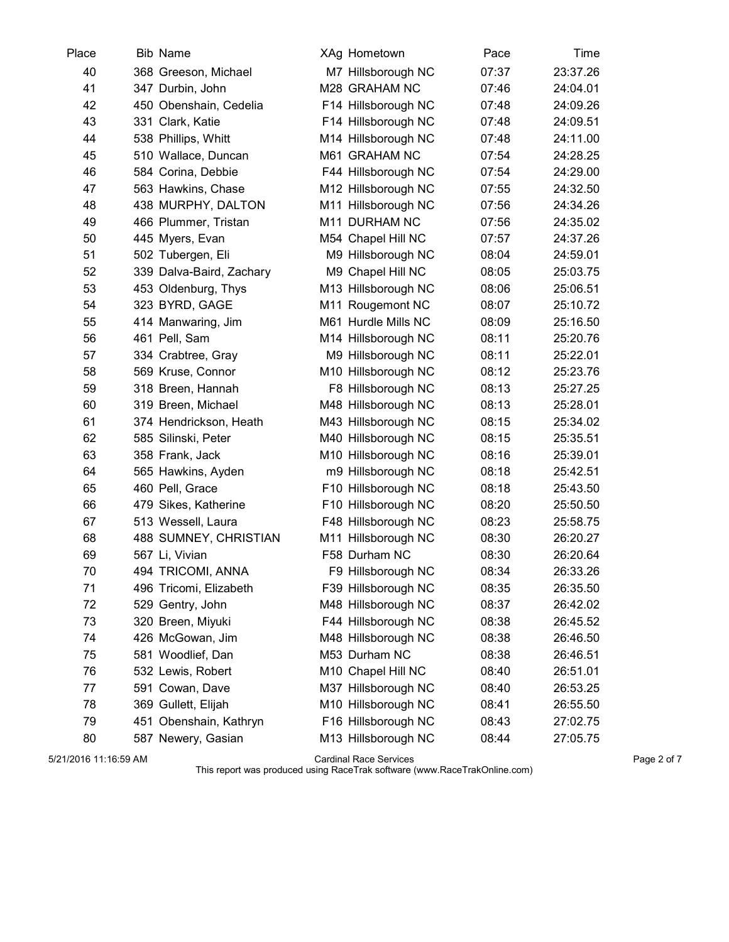| Place | <b>Bib Name</b>          | XAg Hometown        | Pace  | Time     |
|-------|--------------------------|---------------------|-------|----------|
| 40    | 368 Greeson, Michael     | M7 Hillsborough NC  | 07:37 | 23:37.26 |
| 41    | 347 Durbin, John         | M28 GRAHAM NC       | 07:46 | 24:04.01 |
| 42    | 450 Obenshain, Cedelia   | F14 Hillsborough NC | 07:48 | 24:09.26 |
| 43    | 331 Clark, Katie         | F14 Hillsborough NC | 07:48 | 24:09.51 |
| 44    | 538 Phillips, Whitt      | M14 Hillsborough NC | 07:48 | 24:11.00 |
| 45    | 510 Wallace, Duncan      | M61 GRAHAM NC       | 07:54 | 24:28.25 |
| 46    | 584 Corina, Debbie       | F44 Hillsborough NC | 07:54 | 24:29.00 |
| 47    | 563 Hawkins, Chase       | M12 Hillsborough NC | 07:55 | 24:32.50 |
| 48    | 438 MURPHY, DALTON       | M11 Hillsborough NC | 07:56 | 24:34.26 |
| 49    | 466 Plummer, Tristan     | M11 DURHAM NC       | 07:56 | 24:35.02 |
| 50    | 445 Myers, Evan          | M54 Chapel Hill NC  | 07:57 | 24:37.26 |
| 51    | 502 Tubergen, Eli        | M9 Hillsborough NC  | 08:04 | 24:59.01 |
| 52    | 339 Dalva-Baird, Zachary | M9 Chapel Hill NC   | 08:05 | 25:03.75 |
| 53    | 453 Oldenburg, Thys      | M13 Hillsborough NC | 08:06 | 25:06.51 |
| 54    | 323 BYRD, GAGE           | M11 Rougemont NC    | 08:07 | 25:10.72 |
| 55    | 414 Manwaring, Jim       | M61 Hurdle Mills NC | 08:09 | 25:16.50 |
| 56    | 461 Pell, Sam            | M14 Hillsborough NC | 08:11 | 25:20.76 |
| 57    | 334 Crabtree, Gray       | M9 Hillsborough NC  | 08:11 | 25:22.01 |
| 58    | 569 Kruse, Connor        | M10 Hillsborough NC | 08:12 | 25:23.76 |
| 59    | 318 Breen, Hannah        | F8 Hillsborough NC  | 08:13 | 25:27.25 |
| 60    | 319 Breen, Michael       | M48 Hillsborough NC | 08:13 | 25:28.01 |
| 61    | 374 Hendrickson, Heath   | M43 Hillsborough NC | 08:15 | 25:34.02 |
| 62    | 585 Silinski, Peter      | M40 Hillsborough NC | 08:15 | 25:35.51 |
| 63    | 358 Frank, Jack          | M10 Hillsborough NC | 08:16 | 25:39.01 |
| 64    | 565 Hawkins, Ayden       | m9 Hillsborough NC  | 08:18 | 25:42.51 |
| 65    | 460 Pell, Grace          | F10 Hillsborough NC | 08:18 | 25:43.50 |
| 66    | 479 Sikes, Katherine     | F10 Hillsborough NC | 08:20 | 25:50.50 |
| 67    | 513 Wessell, Laura       | F48 Hillsborough NC | 08:23 | 25:58.75 |
| 68    | 488 SUMNEY, CHRISTIAN    | M11 Hillsborough NC | 08:30 | 26:20.27 |
| 69    | 567 Li, Vivian           | F58 Durham NC       | 08:30 | 26:20.64 |
| 70    | 494 TRICOMI, ANNA        | F9 Hillsborough NC  | 08:34 | 26:33.26 |
| 71    | 496 Tricomi, Elizabeth   | F39 Hillsborough NC | 08:35 | 26:35.50 |
| 72    | 529 Gentry, John         | M48 Hillsborough NC | 08:37 | 26:42.02 |
| 73    | 320 Breen, Miyuki        | F44 Hillsborough NC | 08:38 | 26:45.52 |
| 74    | 426 McGowan, Jim         | M48 Hillsborough NC | 08:38 | 26:46.50 |
| 75    | 581 Woodlief, Dan        | M53 Durham NC       | 08:38 | 26:46.51 |
| 76    | 532 Lewis, Robert        | M10 Chapel Hill NC  | 08:40 | 26:51.01 |
| 77    | 591 Cowan, Dave          | M37 Hillsborough NC | 08:40 | 26:53.25 |
| 78    | 369 Gullett, Elijah      | M10 Hillsborough NC | 08:41 | 26:55.50 |
| 79    | 451 Obenshain, Kathryn   | F16 Hillsborough NC | 08:43 | 27:02.75 |
| 80    | 587 Newery, Gasian       | M13 Hillsborough NC | 08:44 | 27:05.75 |

5/21/2016 11:16:59 AM Cardinal Race Services Page 2 of 7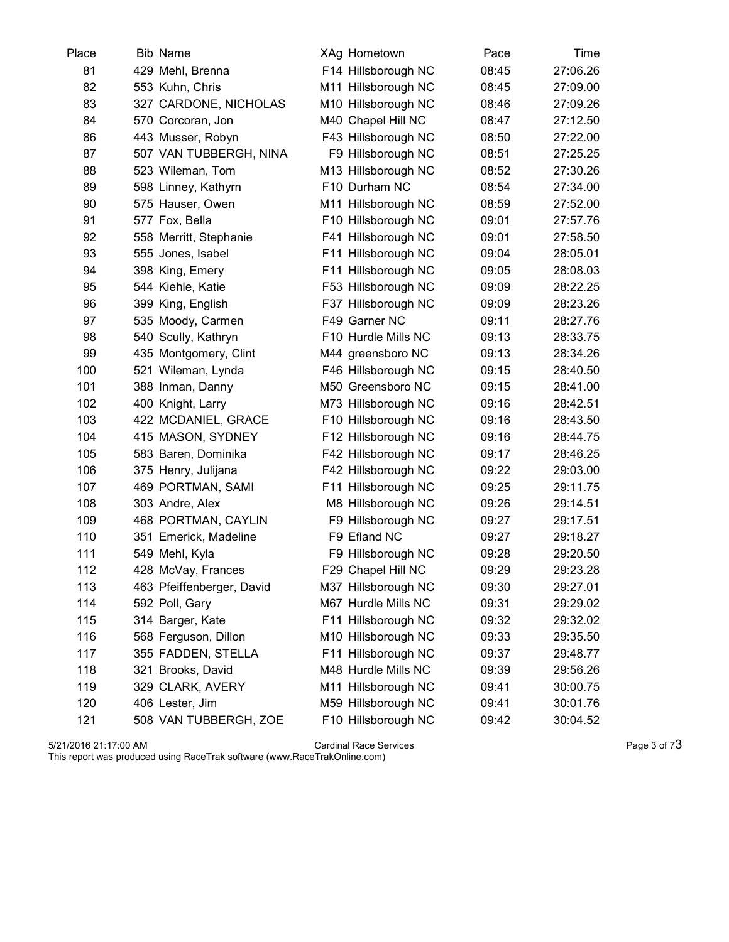| Place | <b>Bib Name</b>           | XAg Hometown        | Pace  | Time     |
|-------|---------------------------|---------------------|-------|----------|
| 81    | 429 Mehl, Brenna          | F14 Hillsborough NC | 08:45 | 27:06.26 |
| 82    | 553 Kuhn, Chris           | M11 Hillsborough NC | 08:45 | 27:09.00 |
| 83    | 327 CARDONE, NICHOLAS     | M10 Hillsborough NC | 08:46 | 27:09.26 |
| 84    | 570 Corcoran, Jon         | M40 Chapel Hill NC  | 08:47 | 27:12.50 |
| 86    | 443 Musser, Robyn         | F43 Hillsborough NC | 08:50 | 27:22.00 |
| 87    | 507 VAN TUBBERGH, NINA    | F9 Hillsborough NC  | 08:51 | 27:25.25 |
| 88    | 523 Wileman, Tom          | M13 Hillsborough NC | 08:52 | 27:30.26 |
| 89    | 598 Linney, Kathyrn       | F10 Durham NC       | 08:54 | 27:34.00 |
| 90    | 575 Hauser, Owen          | M11 Hillsborough NC | 08:59 | 27:52.00 |
| 91    | 577 Fox, Bella            | F10 Hillsborough NC | 09:01 | 27:57.76 |
| 92    | 558 Merritt, Stephanie    | F41 Hillsborough NC | 09:01 | 27:58.50 |
| 93    | 555 Jones, Isabel         | F11 Hillsborough NC | 09:04 | 28:05.01 |
| 94    | 398 King, Emery           | F11 Hillsborough NC | 09:05 | 28:08.03 |
| 95    | 544 Kiehle, Katie         | F53 Hillsborough NC | 09:09 | 28:22.25 |
| 96    | 399 King, English         | F37 Hillsborough NC | 09:09 | 28:23.26 |
| 97    | 535 Moody, Carmen         | F49 Garner NC       | 09:11 | 28:27.76 |
| 98    | 540 Scully, Kathryn       | F10 Hurdle Mills NC | 09:13 | 28:33.75 |
| 99    | 435 Montgomery, Clint     | M44 greensboro NC   | 09:13 | 28:34.26 |
| 100   | 521 Wileman, Lynda        | F46 Hillsborough NC | 09:15 | 28:40.50 |
| 101   | 388 Inman, Danny          | M50 Greensboro NC   | 09:15 | 28:41.00 |
| 102   | 400 Knight, Larry         | M73 Hillsborough NC | 09:16 | 28:42.51 |
| 103   | 422 MCDANIEL, GRACE       | F10 Hillsborough NC | 09:16 | 28:43.50 |
| 104   | 415 MASON, SYDNEY         | F12 Hillsborough NC | 09:16 | 28:44.75 |
| 105   | 583 Baren, Dominika       | F42 Hillsborough NC | 09:17 | 28:46.25 |
| 106   | 375 Henry, Julijana       | F42 Hillsborough NC | 09:22 | 29:03.00 |
| 107   | 469 PORTMAN, SAMI         | F11 Hillsborough NC | 09:25 | 29:11.75 |
| 108   | 303 Andre, Alex           | M8 Hillsborough NC  | 09:26 | 29:14.51 |
| 109   | 468 PORTMAN, CAYLIN       | F9 Hillsborough NC  | 09:27 | 29:17.51 |
| 110   | 351 Emerick, Madeline     | F9 Efland NC        | 09:27 | 29:18.27 |
| 111   | 549 Mehl, Kyla            | F9 Hillsborough NC  | 09:28 | 29:20.50 |
| 112   | 428 McVay, Frances        | F29 Chapel Hill NC  | 09:29 | 29:23.28 |
| 113   | 463 Pfeiffenberger, David | M37 Hillsborough NC | 09:30 | 29:27.01 |
| 114   | 592 Poll, Gary            | M67 Hurdle Mills NC | 09:31 | 29:29.02 |
| 115   | 314 Barger, Kate          | F11 Hillsborough NC | 09:32 | 29:32.02 |
| 116   | 568 Ferguson, Dillon      | M10 Hillsborough NC | 09:33 | 29:35.50 |
| 117   | 355 FADDEN, STELLA        | F11 Hillsborough NC | 09:37 | 29:48.77 |
| 118   | 321 Brooks, David         | M48 Hurdle Mills NC | 09:39 | 29:56.26 |
| 119   | 329 CLARK, AVERY          | M11 Hillsborough NC | 09:41 | 30:00.75 |
| 120   | 406 Lester, Jim           | M59 Hillsborough NC | 09:41 | 30:01.76 |
| 121   | 508 VAN TUBBERGH, ZOE     | F10 Hillsborough NC | 09:42 | 30:04.52 |

 $5/21/2016$  21:17:00 AM  $\hbox{Page 3 of 73}$ This report was produced using RaceTrak software (www.RaceTrakOnline.com)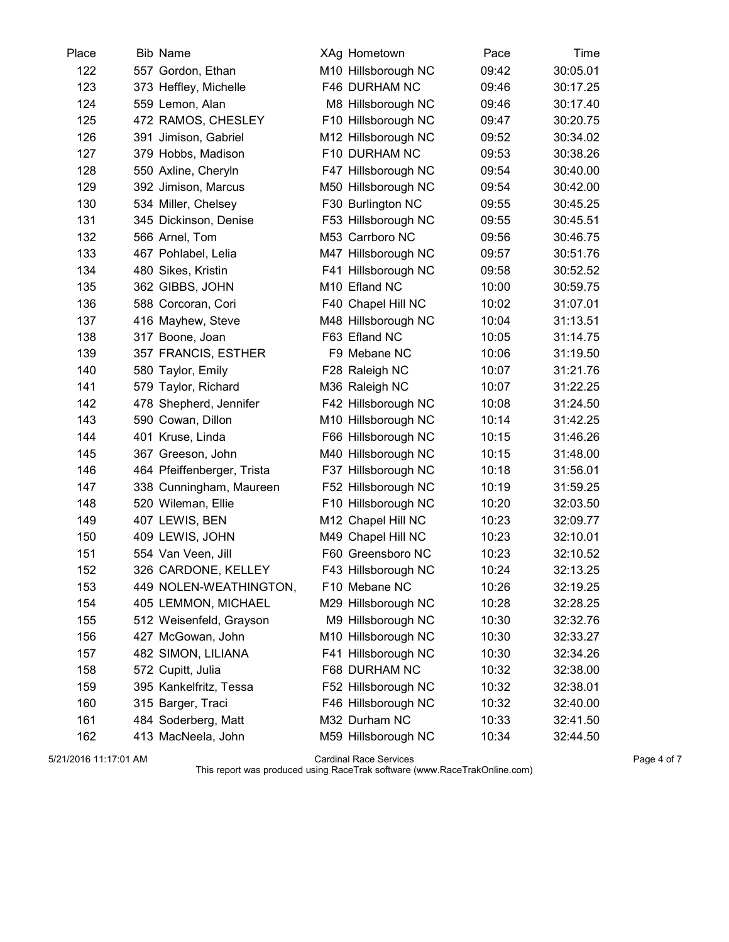| Place | <b>Bib Name</b>            | XAg Hometown        | Pace  | Time     |
|-------|----------------------------|---------------------|-------|----------|
| 122   | 557 Gordon, Ethan          | M10 Hillsborough NC | 09:42 | 30:05.01 |
| 123   | 373 Heffley, Michelle      | F46 DURHAM NC       | 09:46 | 30:17.25 |
| 124   | 559 Lemon, Alan            | M8 Hillsborough NC  | 09:46 | 30:17.40 |
| 125   | 472 RAMOS, CHESLEY         | F10 Hillsborough NC | 09:47 | 30:20.75 |
| 126   | 391 Jimison, Gabriel       | M12 Hillsborough NC | 09:52 | 30:34.02 |
| 127   | 379 Hobbs, Madison         | F10 DURHAM NC       | 09:53 | 30:38.26 |
| 128   | 550 Axline, Cheryln        | F47 Hillsborough NC | 09:54 | 30:40.00 |
| 129   | 392 Jimison, Marcus        | M50 Hillsborough NC | 09:54 | 30:42.00 |
| 130   | 534 Miller, Chelsey        | F30 Burlington NC   | 09:55 | 30:45.25 |
| 131   | 345 Dickinson, Denise      | F53 Hillsborough NC | 09:55 | 30:45.51 |
| 132   | 566 Arnel, Tom             | M53 Carrboro NC     | 09:56 | 30:46.75 |
| 133   | 467 Pohlabel, Lelia        | M47 Hillsborough NC | 09:57 | 30:51.76 |
| 134   | 480 Sikes, Kristin         | F41 Hillsborough NC | 09:58 | 30:52.52 |
| 135   | 362 GIBBS, JOHN            | M10 Efland NC       | 10:00 | 30:59.75 |
| 136   | 588 Corcoran, Cori         | F40 Chapel Hill NC  | 10:02 | 31:07.01 |
| 137   | 416 Mayhew, Steve          | M48 Hillsborough NC | 10:04 | 31:13.51 |
| 138   | 317 Boone, Joan            | F63 Efland NC       | 10:05 | 31:14.75 |
| 139   | 357 FRANCIS, ESTHER        | F9 Mebane NC        | 10:06 | 31:19.50 |
| 140   | 580 Taylor, Emily          | F28 Raleigh NC      | 10:07 | 31:21.76 |
| 141   | 579 Taylor, Richard        | M36 Raleigh NC      | 10:07 | 31:22.25 |
| 142   | 478 Shepherd, Jennifer     | F42 Hillsborough NC | 10:08 | 31:24.50 |
| 143   | 590 Cowan, Dillon          | M10 Hillsborough NC | 10:14 | 31:42.25 |
| 144   | 401 Kruse, Linda           | F66 Hillsborough NC | 10:15 | 31:46.26 |
| 145   | 367 Greeson, John          | M40 Hillsborough NC | 10:15 | 31:48.00 |
| 146   | 464 Pfeiffenberger, Trista | F37 Hillsborough NC | 10:18 | 31:56.01 |
| 147   | 338 Cunningham, Maureen    | F52 Hillsborough NC | 10:19 | 31:59.25 |
| 148   | 520 Wileman, Ellie         | F10 Hillsborough NC | 10:20 | 32:03.50 |
| 149   | 407 LEWIS, BEN             | M12 Chapel Hill NC  | 10:23 | 32:09.77 |
| 150   | 409 LEWIS, JOHN            | M49 Chapel Hill NC  | 10:23 | 32:10.01 |
| 151   | 554 Van Veen, Jill         | F60 Greensboro NC   | 10:23 | 32:10.52 |
| 152   | 326 CARDONE, KELLEY        | F43 Hillsborough NC | 10:24 | 32:13.25 |
| 153   | 449 NOLEN-WEATHINGTON,     | F10 Mebane NC       | 10:26 | 32:19.25 |
| 154   | 405 LEMMON, MICHAEL        | M29 Hillsborough NC | 10:28 | 32:28.25 |
| 155   | 512 Weisenfeld, Grayson    | M9 Hillsborough NC  | 10:30 | 32:32.76 |
| 156   | 427 McGowan, John          | M10 Hillsborough NC | 10:30 | 32:33.27 |
| 157   | 482 SIMON, LILIANA         | F41 Hillsborough NC | 10:30 | 32:34.26 |
| 158   | 572 Cupitt, Julia          | F68 DURHAM NC       | 10:32 | 32:38.00 |
| 159   | 395 Kankelfritz, Tessa     | F52 Hillsborough NC | 10:32 | 32:38.01 |
| 160   | 315 Barger, Traci          | F46 Hillsborough NC | 10:32 | 32:40.00 |
| 161   | 484 Soderberg, Matt        | M32 Durham NC       | 10:33 | 32:41.50 |
| 162   | 413 MacNeela, John         | M59 Hillsborough NC | 10:34 | 32:44.50 |

5/21/2016 11:17:01 AM Cardinal Race Services Page 4 of 7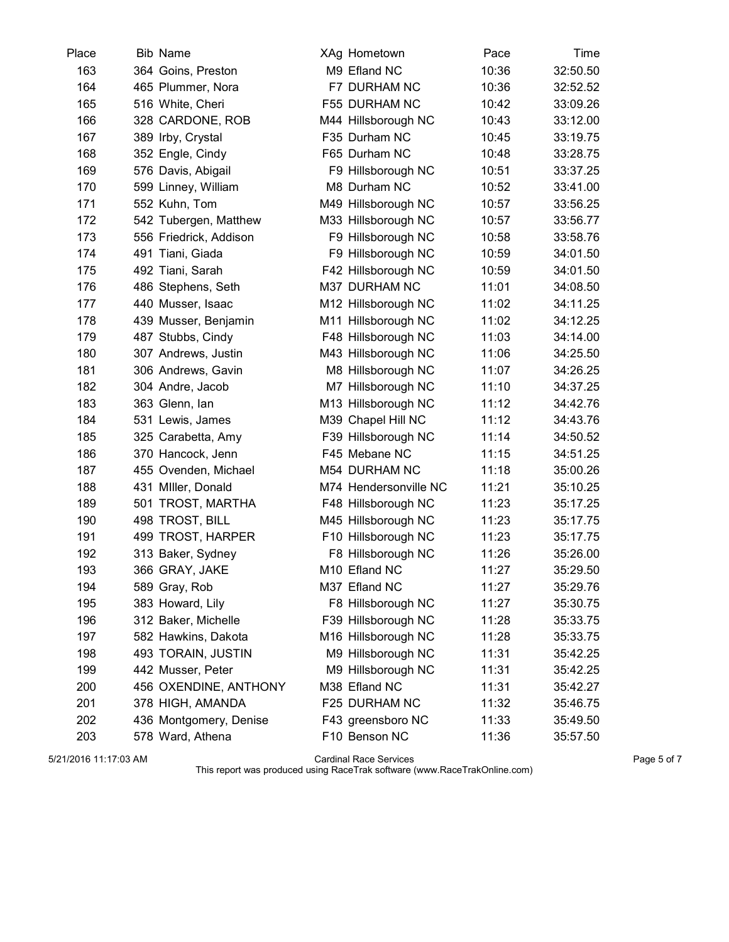| Place | <b>Bib Name</b>        | XAg Hometown          | Pace  | Time     |
|-------|------------------------|-----------------------|-------|----------|
| 163   | 364 Goins, Preston     | M9 Efland NC          | 10:36 | 32:50.50 |
| 164   | 465 Plummer, Nora      | F7 DURHAM NC          | 10:36 | 32:52.52 |
| 165   | 516 White, Cheri       | F55 DURHAM NC         | 10:42 | 33:09.26 |
| 166   | 328 CARDONE, ROB       | M44 Hillsborough NC   | 10:43 | 33:12.00 |
| 167   | 389 Irby, Crystal      | F35 Durham NC         | 10:45 | 33:19.75 |
| 168   | 352 Engle, Cindy       | F65 Durham NC         | 10:48 | 33:28.75 |
| 169   | 576 Davis, Abigail     | F9 Hillsborough NC    | 10:51 | 33:37.25 |
| 170   | 599 Linney, William    | M8 Durham NC          | 10:52 | 33:41.00 |
| 171   | 552 Kuhn, Tom          | M49 Hillsborough NC   | 10:57 | 33:56.25 |
| 172   | 542 Tubergen, Matthew  | M33 Hillsborough NC   | 10:57 | 33:56.77 |
| 173   | 556 Friedrick, Addison | F9 Hillsborough NC    | 10:58 | 33:58.76 |
| 174   | 491 Tiani, Giada       | F9 Hillsborough NC    | 10:59 | 34:01.50 |
| 175   | 492 Tiani, Sarah       | F42 Hillsborough NC   | 10:59 | 34:01.50 |
| 176   | 486 Stephens, Seth     | M37 DURHAM NC         | 11:01 | 34:08.50 |
| 177   | 440 Musser, Isaac      | M12 Hillsborough NC   | 11:02 | 34:11.25 |
| 178   | 439 Musser, Benjamin   | M11 Hillsborough NC   | 11:02 | 34:12.25 |
| 179   | 487 Stubbs, Cindy      | F48 Hillsborough NC   | 11:03 | 34:14.00 |
| 180   | 307 Andrews, Justin    | M43 Hillsborough NC   | 11:06 | 34:25.50 |
| 181   | 306 Andrews, Gavin     | M8 Hillsborough NC    | 11:07 | 34:26.25 |
| 182   | 304 Andre, Jacob       | M7 Hillsborough NC    | 11:10 | 34:37.25 |
| 183   | 363 Glenn, lan         | M13 Hillsborough NC   | 11:12 | 34:42.76 |
| 184   | 531 Lewis, James       | M39 Chapel Hill NC    | 11:12 | 34:43.76 |
| 185   | 325 Carabetta, Amy     | F39 Hillsborough NC   | 11:14 | 34:50.52 |
| 186   | 370 Hancock, Jenn      | F45 Mebane NC         | 11:15 | 34:51.25 |
| 187   | 455 Ovenden, Michael   | M54 DURHAM NC         | 11:18 | 35:00.26 |
| 188   | 431 Miller, Donald     | M74 Hendersonville NC | 11:21 | 35:10.25 |
| 189   | 501 TROST, MARTHA      | F48 Hillsborough NC   | 11:23 | 35:17.25 |
| 190   | 498 TROST, BILL        | M45 Hillsborough NC   | 11:23 | 35:17.75 |
| 191   | 499 TROST, HARPER      | F10 Hillsborough NC   | 11:23 | 35:17.75 |
| 192   | 313 Baker, Sydney      | F8 Hillsborough NC    | 11:26 | 35:26.00 |
| 193   | 366 GRAY, JAKE         | M10 Efland NC         | 11:27 | 35:29.50 |
| 194   | 589 Gray, Rob          | M37 Efland NC         | 11:27 | 35:29.76 |
| 195   | 383 Howard, Lily       | F8 Hillsborough NC    | 11:27 | 35:30.75 |
| 196   | 312 Baker, Michelle    | F39 Hillsborough NC   | 11:28 | 35:33.75 |
| 197   | 582 Hawkins, Dakota    | M16 Hillsborough NC   | 11:28 | 35:33.75 |
| 198   | 493 TORAIN, JUSTIN     | M9 Hillsborough NC    | 11:31 | 35:42.25 |
| 199   | 442 Musser, Peter      | M9 Hillsborough NC    | 11:31 | 35:42.25 |
| 200   | 456 OXENDINE, ANTHONY  | M38 Efland NC         | 11:31 | 35:42.27 |
| 201   | 378 HIGH, AMANDA       | F25 DURHAM NC         | 11:32 | 35:46.75 |
| 202   | 436 Montgomery, Denise | F43 greensboro NC     | 11:33 | 35:49.50 |
| 203   | 578 Ward, Athena       | F10 Benson NC         | 11:36 | 35:57.50 |

5/21/2016 11:17:03 AM Cardinal Race Services Page 5 of 7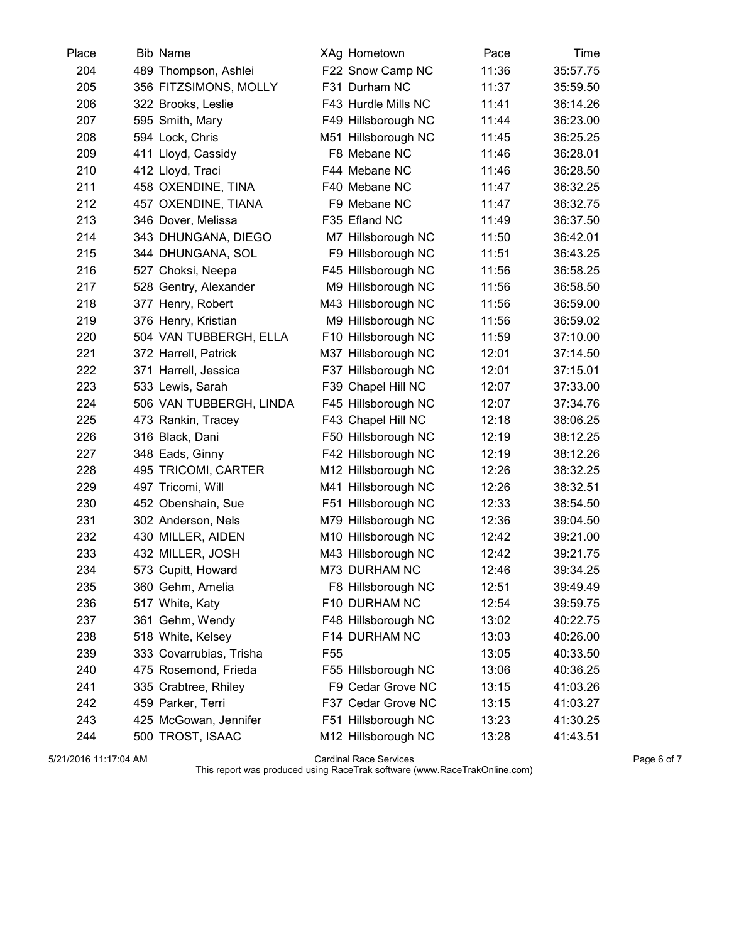| Place | <b>Bib Name</b>         | XAg Hometown        | Pace  | Time     |
|-------|-------------------------|---------------------|-------|----------|
| 204   | 489 Thompson, Ashlei    | F22 Snow Camp NC    | 11:36 | 35:57.75 |
| 205   | 356 FITZSIMONS, MOLLY   | F31 Durham NC       | 11:37 | 35:59.50 |
| 206   | 322 Brooks, Leslie      | F43 Hurdle Mills NC | 11:41 | 36:14.26 |
| 207   | 595 Smith, Mary         | F49 Hillsborough NC | 11:44 | 36:23.00 |
| 208   | 594 Lock, Chris         | M51 Hillsborough NC | 11:45 | 36:25.25 |
| 209   | 411 Lloyd, Cassidy      | F8 Mebane NC        | 11:46 | 36:28.01 |
| 210   | 412 Lloyd, Traci        | F44 Mebane NC       | 11:46 | 36:28.50 |
| 211   | 458 OXENDINE, TINA      | F40 Mebane NC       | 11:47 | 36:32.25 |
| 212   | 457 OXENDINE, TIANA     | F9 Mebane NC        | 11:47 | 36:32.75 |
| 213   | 346 Dover, Melissa      | F35 Efland NC       | 11:49 | 36:37.50 |
| 214   | 343 DHUNGANA, DIEGO     | M7 Hillsborough NC  | 11:50 | 36:42.01 |
| 215   | 344 DHUNGANA, SOL       | F9 Hillsborough NC  | 11:51 | 36:43.25 |
| 216   | 527 Choksi, Neepa       | F45 Hillsborough NC | 11:56 | 36:58.25 |
| 217   | 528 Gentry, Alexander   | M9 Hillsborough NC  | 11:56 | 36:58.50 |
| 218   | 377 Henry, Robert       | M43 Hillsborough NC | 11:56 | 36:59.00 |
| 219   | 376 Henry, Kristian     | M9 Hillsborough NC  | 11:56 | 36:59.02 |
| 220   | 504 VAN TUBBERGH, ELLA  | F10 Hillsborough NC | 11:59 | 37:10.00 |
| 221   | 372 Harrell, Patrick    | M37 Hillsborough NC | 12:01 | 37:14.50 |
| 222   | 371 Harrell, Jessica    | F37 Hillsborough NC | 12:01 | 37:15.01 |
| 223   | 533 Lewis, Sarah        | F39 Chapel Hill NC  | 12:07 | 37:33.00 |
| 224   | 506 VAN TUBBERGH, LINDA | F45 Hillsborough NC | 12:07 | 37:34.76 |
| 225   | 473 Rankin, Tracey      | F43 Chapel Hill NC  | 12:18 | 38:06.25 |
| 226   | 316 Black, Dani         | F50 Hillsborough NC | 12:19 | 38:12.25 |
| 227   | 348 Eads, Ginny         | F42 Hillsborough NC | 12:19 | 38:12.26 |
| 228   | 495 TRICOMI, CARTER     | M12 Hillsborough NC | 12:26 | 38:32.25 |
| 229   | 497 Tricomi, Will       | M41 Hillsborough NC | 12:26 | 38:32.51 |
| 230   | 452 Obenshain, Sue      | F51 Hillsborough NC | 12:33 | 38:54.50 |
| 231   | 302 Anderson, Nels      | M79 Hillsborough NC | 12:36 | 39:04.50 |
| 232   | 430 MILLER, AIDEN       | M10 Hillsborough NC | 12:42 | 39:21.00 |
| 233   | 432 MILLER, JOSH        | M43 Hillsborough NC | 12:42 | 39:21.75 |
| 234   | 573 Cupitt, Howard      | M73 DURHAM NC       | 12:46 | 39:34.25 |
| 235   | 360 Gehm, Amelia        | F8 Hillsborough NC  | 12:51 | 39:49.49 |
| 236   | 517 White, Katy         | F10 DURHAM NC       | 12:54 | 39:59.75 |
| 237   | 361 Gehm, Wendy         | F48 Hillsborough NC | 13:02 | 40:22.75 |
| 238   | 518 White, Kelsey       | F14 DURHAM NC       | 13:03 | 40:26.00 |
| 239   | 333 Covarrubias, Trisha | F <sub>55</sub>     | 13:05 | 40:33.50 |
| 240   | 475 Rosemond, Frieda    | F55 Hillsborough NC | 13:06 | 40:36.25 |
| 241   | 335 Crabtree, Rhiley    | F9 Cedar Grove NC   | 13:15 | 41:03.26 |
| 242   | 459 Parker, Terri       | F37 Cedar Grove NC  | 13:15 | 41:03.27 |
| 243   | 425 McGowan, Jennifer   | F51 Hillsborough NC | 13:23 | 41:30.25 |
| 244   | 500 TROST, ISAAC        | M12 Hillsborough NC | 13:28 | 41:43.51 |

5/21/2016 11:17:04 AM Cardinal Race Services Page 6 of 7